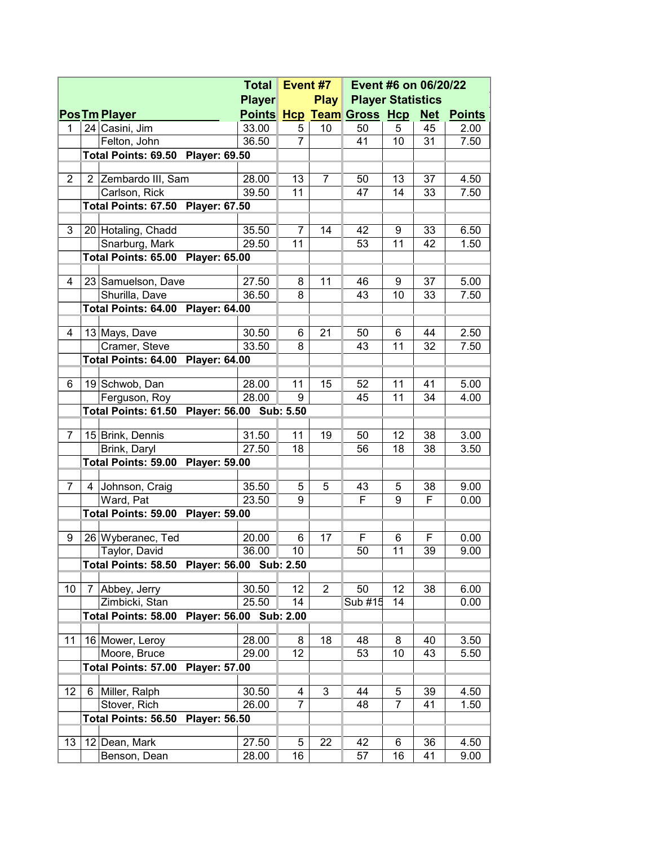|                |   |                                                    |                      | <b>Total</b> |                  | Event #7                      | Event #6 on 06/20/22 |    |               |      |
|----------------|---|----------------------------------------------------|----------------------|--------------|------------------|-------------------------------|----------------------|----|---------------|------|
|                |   |                                                    | <b>Player</b>        |              | <b>Play</b>      | <b>Player Statistics</b>      |                      |    |               |      |
|                |   | <b>Pos Tm Player</b>                               |                      |              |                  | Points Hcp Team Gross Hcp Net |                      |    | <b>Points</b> |      |
| 1              |   | 24 Casini, Jim                                     |                      | 33.00        | 5                | 10                            | 50                   | 5  | 45            | 2.00 |
|                |   | Felton, John                                       |                      | 36.50        | 7                |                               | 41                   | 10 | 31            | 7.50 |
|                |   | Total Points: 69.50 Player: 69.50                  |                      |              |                  |                               |                      |    |               |      |
|                |   |                                                    |                      |              |                  |                               |                      |    |               |      |
| $\overline{2}$ |   | 2 Zembardo III, Sam                                |                      | 28.00        | 13               | 7                             | 50                   | 13 | 37            | 4.50 |
|                |   | Carlson, Rick<br>Total Points: 67.50 Player: 67.50 |                      | 39.50        | 11               |                               | 47                   | 14 | 33            | 7.50 |
|                |   |                                                    |                      |              |                  |                               |                      |    |               |      |
| 3              |   | 20 Hotaling, Chadd                                 |                      | 35.50        | 7                | 14                            | 42                   | 9  | 33            | 6.50 |
|                |   | Snarburg, Mark                                     |                      | 29.50        | 11               |                               | 53                   | 11 | 42            | 1.50 |
|                |   | Total Points: 65.00 Player: 65.00                  |                      |              |                  |                               |                      |    |               |      |
|                |   |                                                    |                      |              |                  |                               |                      |    |               |      |
| 4              |   | 23 Samuelson, Dave                                 |                      | 27.50        | 8                | 11                            | 46                   | 9  | 37            | 5.00 |
|                |   | Shurilla, Dave                                     |                      | 36.50        | 8                |                               | 43                   | 10 | 33            | 7.50 |
|                |   | <b>Total Points: 64.00 Player: 64.00</b>           |                      |              |                  |                               |                      |    |               |      |
| 4              |   | 13 Mays, Dave                                      |                      | 30.50        | 6                | 21                            | 50                   | 6  | 44            | 2.50 |
|                |   | Cramer, Steve                                      |                      | 33.50        | 8                |                               | 43                   | 11 | 32            | 7.50 |
|                |   | <b>Total Points: 64.00 Player: 64.00</b>           |                      |              |                  |                               |                      |    |               |      |
|                |   |                                                    |                      |              |                  |                               |                      |    |               |      |
| 6              |   | 19 Schwob, Dan                                     |                      | 28.00        | 11               | 15                            | 52                   | 11 | 41            | 5.00 |
|                |   | Ferguson, Roy                                      |                      | 28.00        | 9                |                               | 45                   | 11 | 34            | 4.00 |
|                |   | Total Points: 61.50 Player: 56.00 Sub: 5.50        |                      |              |                  |                               |                      |    |               |      |
| 7              |   | 15 Brink, Dennis                                   |                      | 31.50        | 11               | 19                            | 50                   | 12 | 38            | 3.00 |
|                |   | Brink, Daryl                                       |                      | 27.50        | 18               |                               | 56                   | 18 | 38            | 3.50 |
|                |   | <b>Total Points: 59.00 Player: 59.00</b>           |                      |              |                  |                               |                      |    |               |      |
|                |   |                                                    |                      |              |                  |                               |                      |    |               |      |
| 7              | 4 | Johnson, Craig                                     |                      | 35.50        | 5                | 5                             | 43                   | 5  | 38            | 9.00 |
|                |   | Ward, Pat                                          |                      | 23.50        | 9                |                               | F                    | 9  | F             | 0.00 |
|                |   | <b>Total Points: 59.00 Player: 59.00</b>           |                      |              |                  |                               |                      |    |               |      |
| 9              |   | 26 Wyberanec, Ted                                  |                      | 20.00        | 6                | 17                            | F                    | 6  | F             | 0.00 |
|                |   | Taylor, David                                      |                      | 36.00        | 10               |                               | 50                   | 11 | 39            | 9.00 |
|                |   | Total Points: 58.50 Player: 56.00 Sub: 2.50        |                      |              |                  |                               |                      |    |               |      |
|                |   |                                                    |                      |              |                  |                               |                      |    |               |      |
| 10             | 7 | Abbey, Jerry                                       |                      | 30.50        | 12               | $\boldsymbol{2}$              | 50                   | 12 | 38            | 6.00 |
|                |   | Zimbicki, Stan                                     |                      | 25.50        | 14               |                               | Sub #15              | 14 |               | 0.00 |
|                |   | <b>Total Points: 58.00</b>                         | <b>Player: 56.00</b> |              | <b>Sub: 2.00</b> |                               |                      |    |               |      |
| 11             |   | 16 Mower, Leroy                                    |                      | 28.00        | 8                | 18                            | 48                   | 8  | 40            | 3.50 |
|                |   | Moore, Bruce                                       |                      | 29.00        | 12               |                               | 53                   | 10 | 43            | 5.50 |
|                |   | <b>Total Points: 57.00</b>                         | <b>Player: 57.00</b> |              |                  |                               |                      |    |               |      |
|                |   |                                                    |                      |              |                  |                               |                      |    |               |      |
| 12             | 6 | Miller, Ralph                                      |                      | 30.50        | 4                | 3                             | 44                   | 5  | 39            | 4.50 |
|                |   | Stover, Rich                                       |                      | 26.00        | 7                |                               | 48                   | 7  | 41            | 1.50 |
|                |   | <b>Total Points: 56.50</b>                         | <b>Player: 56.50</b> |              |                  |                               |                      |    |               |      |
| 13             |   | 12 Dean, Mark                                      |                      | 27.50        | 5                | 22                            | 42                   | 6  | 36            | 4.50 |
|                |   | Benson, Dean                                       |                      | 28.00        | 16               |                               | 57                   | 16 | 41            | 9.00 |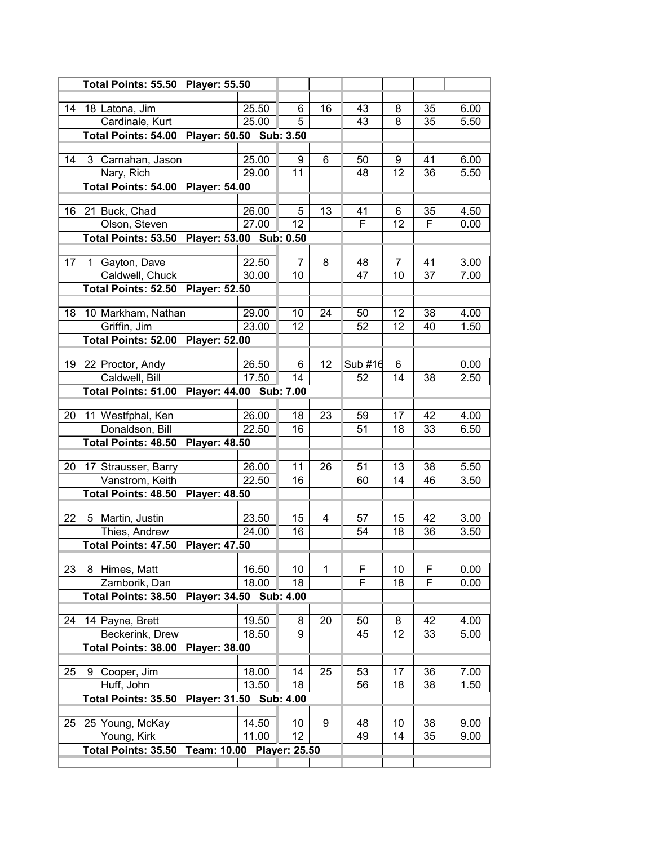|    |    | Total Points: 55.50 Player: 55.50             |  |       |    |    |         |    |    |      |
|----|----|-----------------------------------------------|--|-------|----|----|---------|----|----|------|
|    |    |                                               |  |       |    |    |         |    |    |      |
| 14 |    | 18 Latona, Jim                                |  | 25.50 | 6  | 16 | 43      | 8  | 35 | 6.00 |
|    |    | Cardinale, Kurt                               |  | 25.00 | 5  |    | 43      | 8  | 35 | 5.50 |
|    |    | Total Points: 54.00 Player: 50.50 Sub: 3.50   |  |       |    |    |         |    |    |      |
| 14 | 3  | Carnahan, Jason                               |  | 25.00 | 9  | 6  | 50      | 9  | 41 | 6.00 |
|    |    | Nary, Rich                                    |  | 29.00 | 11 |    | 48      | 12 | 36 | 5.50 |
|    |    | <b>Total Points: 54.00 Player: 54.00</b>      |  |       |    |    |         |    |    |      |
|    |    |                                               |  |       |    |    |         |    |    |      |
| 16 |    | 21 Buck, Chad                                 |  | 26.00 | 5  | 13 | 41      | 6  | 35 | 4.50 |
|    |    | Olson, Steven                                 |  | 27.00 | 12 |    | F       | 12 | F  | 0.00 |
|    |    | Total Points: 53.50 Player: 53.00 Sub: 0.50   |  |       |    |    |         |    |    |      |
|    |    |                                               |  |       |    |    |         |    |    |      |
| 17 | 1. | Gayton, Dave                                  |  | 22.50 | 7  | 8  | 48      | 7  | 41 | 3.00 |
|    |    | Caldwell, Chuck                               |  | 30.00 | 10 |    | 47      | 10 | 37 | 7.00 |
|    |    | Total Points: 52.50 Player: 52.50             |  |       |    |    |         |    |    |      |
| 18 |    | 10 Markham, Nathan                            |  | 29.00 | 10 | 24 | 50      | 12 | 38 | 4.00 |
|    |    | Griffin, Jim                                  |  | 23.00 | 12 |    | 52      | 12 | 40 | 1.50 |
|    |    | Total Points: 52.00 Player: 52.00             |  |       |    |    |         |    |    |      |
|    |    |                                               |  |       |    |    |         |    |    |      |
| 19 |    | 22 Proctor, Andy                              |  | 26.50 | 6  | 12 | Sub #16 | 6  |    | 0.00 |
|    |    | Caldwell, Bill                                |  | 17.50 | 14 |    | 52      | 14 | 38 | 2.50 |
|    |    | Total Points: 51.00 Player: 44.00 Sub: 7.00   |  |       |    |    |         |    |    |      |
|    |    |                                               |  |       |    |    |         |    |    |      |
| 20 |    | 11 Westfphal, Ken                             |  | 26.00 | 18 | 23 | 59      | 17 | 42 | 4.00 |
|    |    | Donaldson, Bill                               |  | 22.50 | 16 |    | 51      | 18 | 33 | 6.50 |
|    |    | Total Points: 48.50 Player: 48.50             |  |       |    |    |         |    |    |      |
| 20 |    | 17 Strausser, Barry                           |  | 26.00 | 11 | 26 | 51      | 13 | 38 | 5.50 |
|    |    | Vanstrom, Keith                               |  | 22.50 | 16 |    | 60      | 14 | 46 | 3.50 |
|    |    | Total Points: 48.50 Player: 48.50             |  |       |    |    |         |    |    |      |
|    |    |                                               |  |       |    |    |         |    |    |      |
| 22 |    | 5 Martin, Justin                              |  | 23.50 | 15 | 4  | 57      | 15 | 42 | 3.00 |
|    |    | Thies, Andrew                                 |  | 24.00 | 16 |    | 54      | 18 | 36 | 3.50 |
|    |    | Total Points: 47.50 Player: 47.50             |  |       |    |    |         |    |    |      |
|    |    |                                               |  |       |    |    |         |    |    |      |
| 23 | 8  | Himes, Matt                                   |  | 16.50 | 10 | 1  | F       | 10 | F  | 0.00 |
|    |    | Zamborik, Dan                                 |  | 18.00 | 18 |    | F       | 18 | F  | 0.00 |
|    |    | Total Points: 38.50 Player: 34.50 Sub: 4.00   |  |       |    |    |         |    |    |      |
| 24 |    | 14 Payne, Brett                               |  | 19.50 | 8  | 20 | 50      | 8  | 42 | 4.00 |
|    |    | Beckerink, Drew                               |  | 18.50 | 9  |    | 45      | 12 | 33 | 5.00 |
|    |    | Total Points: 38.00 Player: 38.00             |  |       |    |    |         |    |    |      |
|    |    |                                               |  |       |    |    |         |    |    |      |
| 25 | 9  | Cooper, Jim                                   |  | 18.00 | 14 | 25 | 53      | 17 | 36 | 7.00 |
|    |    | Huff, John                                    |  | 13.50 | 18 |    | 56      | 18 | 38 | 1.50 |
|    |    | Total Points: 35.50 Player: 31.50 Sub: 4.00   |  |       |    |    |         |    |    |      |
|    |    |                                               |  |       |    |    |         |    |    |      |
| 25 |    | 25 Young, McKay                               |  | 14.50 | 10 | 9  | 48      | 10 | 38 | 9.00 |
|    |    | Young, Kirk                                   |  | 11.00 | 12 |    | 49      | 14 | 35 | 9.00 |
|    |    | Total Points: 35.50 Team: 10.00 Player: 25.50 |  |       |    |    |         |    |    |      |
|    |    |                                               |  |       |    |    |         |    |    |      |